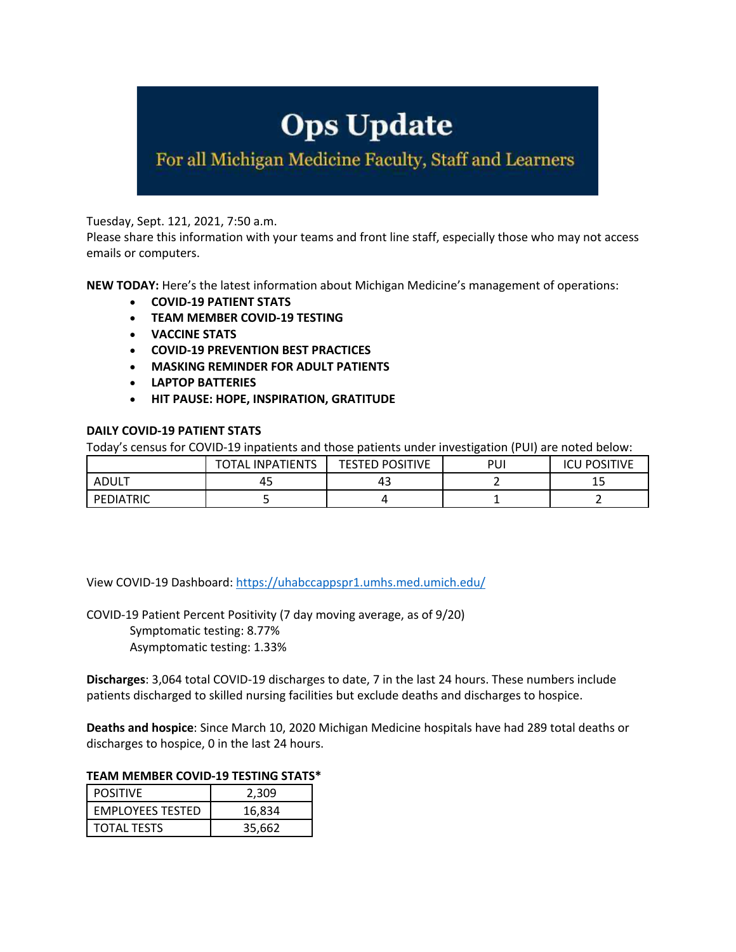# **Ops Update**

For all Michigan Medicine Faculty, Staff and Learners

Tuesday, Sept. 121, 2021, 7:50 a.m.

Please share this information with your teams and front line staff, especially those who may not access emails or computers.

**NEW TODAY:** Here's the latest information about Michigan Medicine's management of operations:

- **COVID-19 PATIENT STATS**
- **TEAM MEMBER COVID-19 TESTING**
- **VACCINE STATS**
- **COVID-19 PREVENTION BEST PRACTICES**
- **MASKING REMINDER FOR ADULT PATIENTS**
- **LAPTOP BATTERIES**
- **HIT PAUSE: HOPE, INSPIRATION, GRATITUDE**

#### **DAILY COVID-19 PATIENT STATS**

Today's census for COVID-19 inpatients and those patients under investigation (PUI) are noted below:

|           | <b>INPATIENTS</b><br>ነTAL | <b>TESTED POSITIVE</b> | PUI | <b>POSITIVE</b><br>۱Cl |
|-----------|---------------------------|------------------------|-----|------------------------|
| ADULT     | 45                        | 4э                     |     | 15                     |
| PEDIATRIC |                           |                        | --  |                        |

View COVID-19 Dashboard: https://uhabccappspr1.umhs.med.umich.edu/

COVID-19 Patient Percent Positivity (7 day moving average, as of 9/20) Symptomatic testing: 8.77% Asymptomatic testing: 1.33%

**Discharges**: 3,064 total COVID-19 discharges to date, 7 in the last 24 hours. These numbers include patients discharged to skilled nursing facilities but exclude deaths and discharges to hospice.

**Deaths and hospice**: Since March 10, 2020 Michigan Medicine hospitals have had 289 total deaths or discharges to hospice, 0 in the last 24 hours.

## **TEAM MEMBER COVID-19 TESTING STATS\***

| <b>POSITIVE</b>         | 2,309  |  |
|-------------------------|--------|--|
| <b>EMPLOYEES TESTED</b> | 16.834 |  |
| <b>TOTAL TESTS</b>      | 35.662 |  |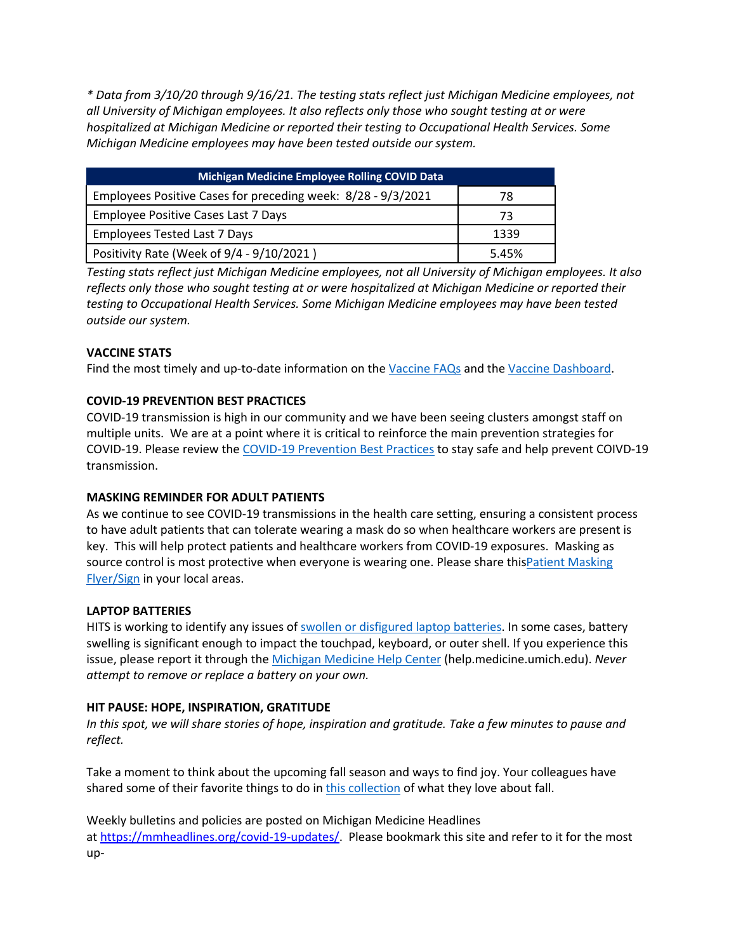*\* Data from 3/10/20 through 9/16/21. The testing stats reflect just Michigan Medicine employees, not all University of Michigan employees. It also reflects only those who sought testing at or were hospitalized at Michigan Medicine or reported their testing to Occupational Health Services. Some Michigan Medicine employees may have been tested outside our system.*

| <b>Michigan Medicine Employee Rolling COVID Data</b>         |       |  |  |
|--------------------------------------------------------------|-------|--|--|
| Employees Positive Cases for preceding week: 8/28 - 9/3/2021 | 78    |  |  |
| <b>Employee Positive Cases Last 7 Days</b>                   | 73    |  |  |
| <b>Employees Tested Last 7 Days</b>                          | 1339  |  |  |
| Positivity Rate (Week of 9/4 - 9/10/2021)                    | 5.45% |  |  |

*Testing stats reflect just Michigan Medicine employees, not all University of Michigan employees. It also reflects only those who sought testing at or were hospitalized at Michigan Medicine or reported their testing to Occupational Health Services. Some Michigan Medicine employees may have been tested outside our system.*

## **VACCINE STATS**

Find the most timely and up-to-date information on the Vaccine FAQs and the Vaccine Dashboard.

#### **COVID-19 PREVENTION BEST PRACTICES**

COVID-19 transmission is high in our community and we have been seeing clusters amongst staff on multiple units. We are at a point where it is critical to reinforce the main prevention strategies for COVID-19. Please review the COVID-19 Prevention Best Practices to stay safe and help prevent COIVD-19 transmission.

#### **MASKING REMINDER FOR ADULT PATIENTS**

As we continue to see COVID-19 transmissions in the health care setting, ensuring a consistent process to have adult patients that can tolerate wearing a mask do so when healthcare workers are present is key. This will help protect patients and healthcare workers from COVID-19 exposures. Masking as source control is most protective when everyone is wearing one. Please share thisPatient Masking Flyer/Sign in your local areas.

#### **LAPTOP BATTERIES**

HITS is working to identify any issues of swollen or disfigured laptop batteries. In some cases, battery swelling is significant enough to impact the touchpad, keyboard, or outer shell. If you experience this issue, please report it through the Michigan Medicine Help Center (help.medicine.umich.edu). *Never attempt to remove or replace a battery on your own.*

#### **HIT PAUSE: HOPE, INSPIRATION, GRATITUDE**

*In this spot, we will share stories of hope, inspiration and gratitude. Take a few minutes to pause and reflect.*

Take a moment to think about the upcoming fall season and ways to find joy. Your colleagues have shared some of their favorite things to do in this collection of what they love about fall.

Weekly bulletins and policies are posted on Michigan Medicine Headlines at https://mmheadlines.org/covid-19-updates/. Please bookmark this site and refer to it for the most up